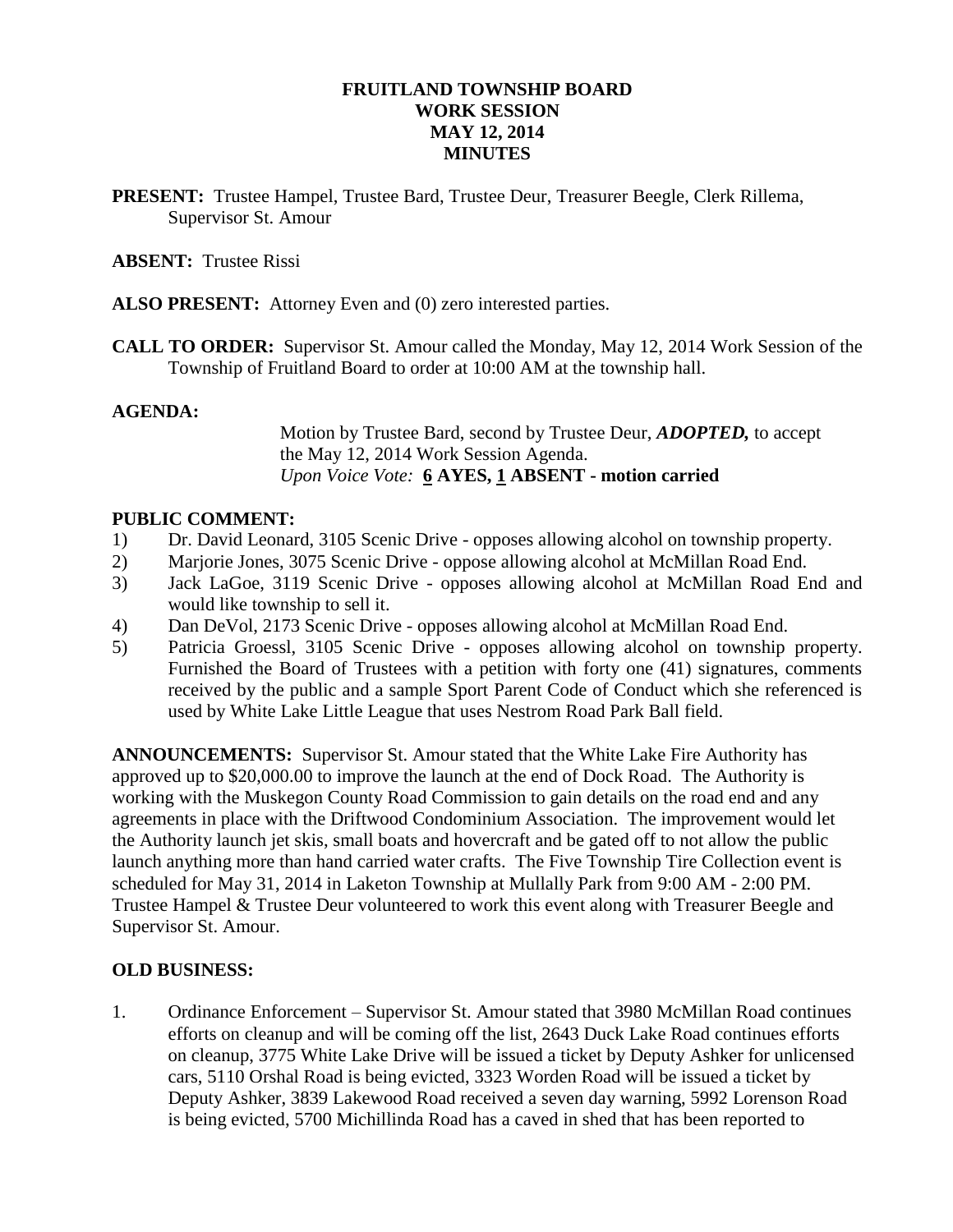# **FRUITLAND TOWNSHIP BOARD WORK SESSION MAY 12, 2014 MINUTES**

**PRESENT:** Trustee Hampel, Trustee Bard, Trustee Deur, Treasurer Beegle, Clerk Rillema, Supervisor St. Amour

### **ABSENT:** Trustee Rissi

- **ALSO PRESENT:** Attorney Even and (0) zero interested parties.
- **CALL TO ORDER:** Supervisor St. Amour called the Monday, May 12, 2014 Work Session of the Township of Fruitland Board to order at 10:00 AM at the township hall.

### **AGENDA:**

Motion by Trustee Bard, second by Trustee Deur, *ADOPTED,* to accept the May 12, 2014 Work Session Agenda. *Upon Voice Vote:* **6 AYES, 1 ABSENT - motion carried**

### **PUBLIC COMMENT:**

- 1) Dr. David Leonard, 3105 Scenic Drive opposes allowing alcohol on township property.
- 2) Marjorie Jones, 3075 Scenic Drive oppose allowing alcohol at McMillan Road End.
- 3) Jack LaGoe, 3119 Scenic Drive opposes allowing alcohol at McMillan Road End and would like township to sell it.
- 4) Dan DeVol, 2173 Scenic Drive opposes allowing alcohol at McMillan Road End.
- 5) Patricia Groessl, 3105 Scenic Drive opposes allowing alcohol on township property. Furnished the Board of Trustees with a petition with forty one (41) signatures, comments received by the public and a sample Sport Parent Code of Conduct which she referenced is used by White Lake Little League that uses Nestrom Road Park Ball field.

**ANNOUNCEMENTS:** Supervisor St. Amour stated that the White Lake Fire Authority has approved up to \$20,000.00 to improve the launch at the end of Dock Road. The Authority is working with the Muskegon County Road Commission to gain details on the road end and any agreements in place with the Driftwood Condominium Association. The improvement would let the Authority launch jet skis, small boats and hovercraft and be gated off to not allow the public launch anything more than hand carried water crafts. The Five Township Tire Collection event is scheduled for May 31, 2014 in Laketon Township at Mullally Park from 9:00 AM - 2:00 PM. Trustee Hampel & Trustee Deur volunteered to work this event along with Treasurer Beegle and Supervisor St. Amour.

#### **OLD BUSINESS:**

1. Ordinance Enforcement – Supervisor St. Amour stated that 3980 McMillan Road continues efforts on cleanup and will be coming off the list, 2643 Duck Lake Road continues efforts on cleanup, 3775 White Lake Drive will be issued a ticket by Deputy Ashker for unlicensed cars, 5110 Orshal Road is being evicted, 3323 Worden Road will be issued a ticket by Deputy Ashker, 3839 Lakewood Road received a seven day warning, 5992 Lorenson Road is being evicted, 5700 Michillinda Road has a caved in shed that has been reported to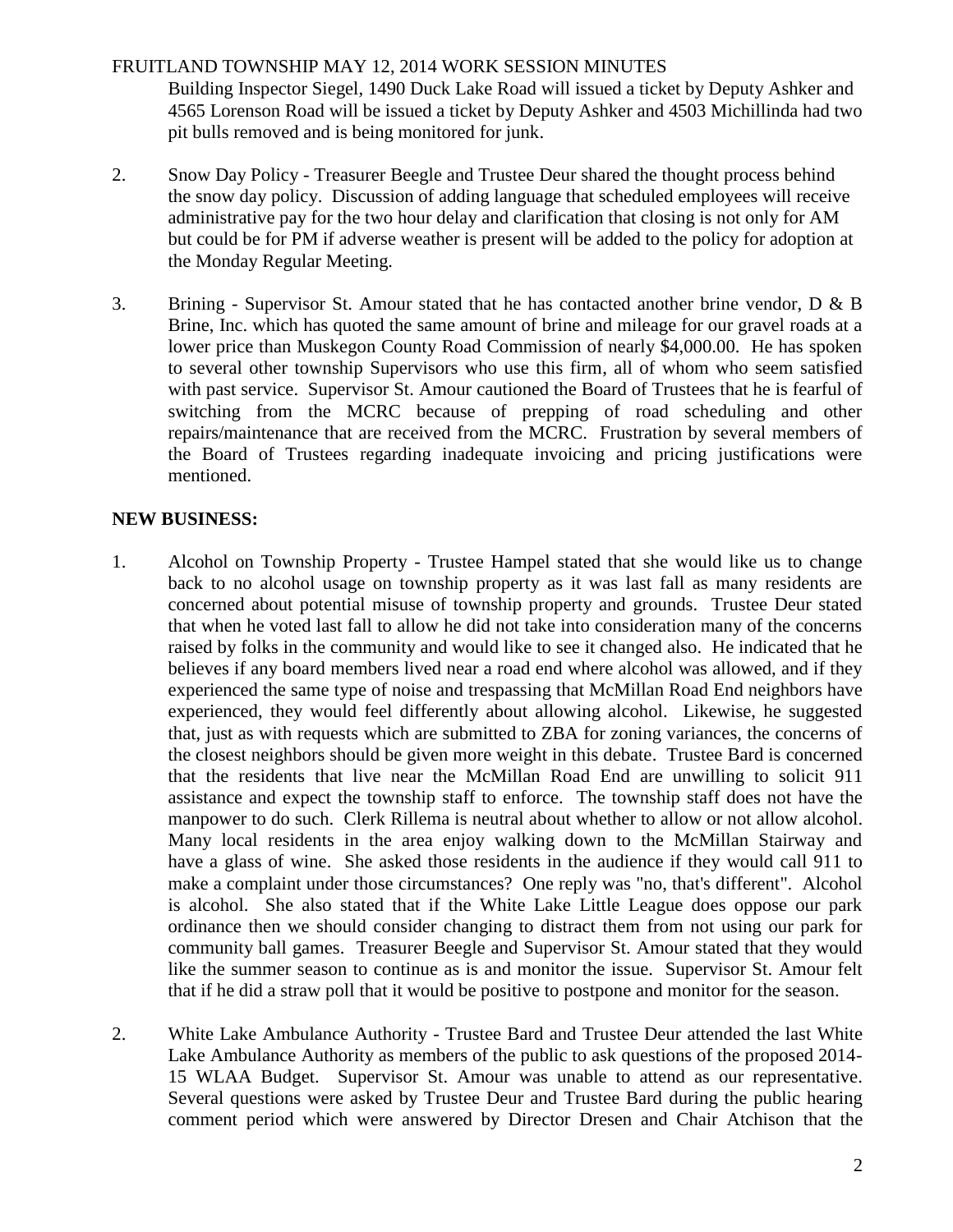# FRUITLAND TOWNSHIP MAY 12, 2014 WORK SESSION MINUTES

Building Inspector Siegel, 1490 Duck Lake Road will issued a ticket by Deputy Ashker and 4565 Lorenson Road will be issued a ticket by Deputy Ashker and 4503 Michillinda had two pit bulls removed and is being monitored for junk.

- 2. Snow Day Policy Treasurer Beegle and Trustee Deur shared the thought process behind the snow day policy. Discussion of adding language that scheduled employees will receive administrative pay for the two hour delay and clarification that closing is not only for AM but could be for PM if adverse weather is present will be added to the policy for adoption at the Monday Regular Meeting.
- 3. Brining Supervisor St. Amour stated that he has contacted another brine vendor, D & B Brine, Inc. which has quoted the same amount of brine and mileage for our gravel roads at a lower price than Muskegon County Road Commission of nearly \$4,000.00. He has spoken to several other township Supervisors who use this firm, all of whom who seem satisfied with past service. Supervisor St. Amour cautioned the Board of Trustees that he is fearful of switching from the MCRC because of prepping of road scheduling and other repairs/maintenance that are received from the MCRC. Frustration by several members of the Board of Trustees regarding inadequate invoicing and pricing justifications were mentioned.

# **NEW BUSINESS:**

- 1. Alcohol on Township Property Trustee Hampel stated that she would like us to change back to no alcohol usage on township property as it was last fall as many residents are concerned about potential misuse of township property and grounds. Trustee Deur stated that when he voted last fall to allow he did not take into consideration many of the concerns raised by folks in the community and would like to see it changed also. He indicated that he believes if any board members lived near a road end where alcohol was allowed, and if they experienced the same type of noise and trespassing that McMillan Road End neighbors have experienced, they would feel differently about allowing alcohol. Likewise, he suggested that, just as with requests which are submitted to ZBA for zoning variances, the concerns of the closest neighbors should be given more weight in this debate. Trustee Bard is concerned that the residents that live near the McMillan Road End are unwilling to solicit 911 assistance and expect the township staff to enforce. The township staff does not have the manpower to do such. Clerk Rillema is neutral about whether to allow or not allow alcohol. Many local residents in the area enjoy walking down to the McMillan Stairway and have a glass of wine. She asked those residents in the audience if they would call 911 to make a complaint under those circumstances? One reply was "no, that's different". Alcohol is alcohol. She also stated that if the White Lake Little League does oppose our park ordinance then we should consider changing to distract them from not using our park for community ball games. Treasurer Beegle and Supervisor St. Amour stated that they would like the summer season to continue as is and monitor the issue. Supervisor St. Amour felt that if he did a straw poll that it would be positive to postpone and monitor for the season.
- 2. White Lake Ambulance Authority Trustee Bard and Trustee Deur attended the last White Lake Ambulance Authority as members of the public to ask questions of the proposed 2014- 15 WLAA Budget. Supervisor St. Amour was unable to attend as our representative. Several questions were asked by Trustee Deur and Trustee Bard during the public hearing comment period which were answered by Director Dresen and Chair Atchison that the